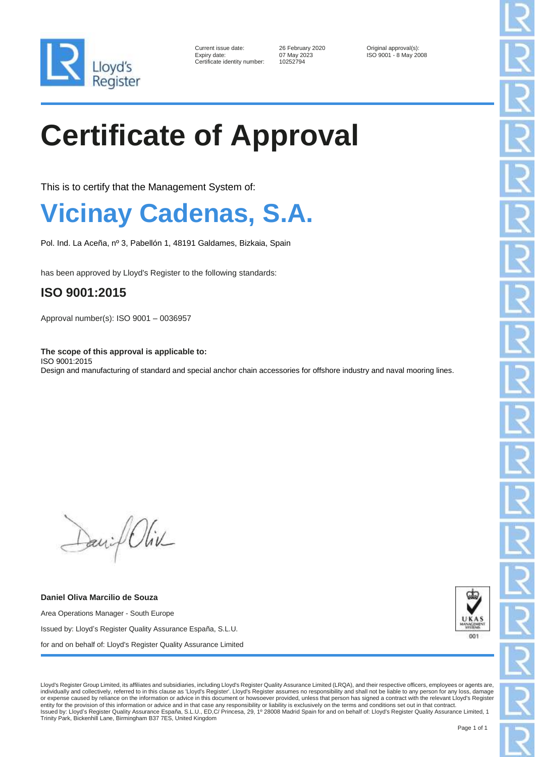

| Current issue date:        |
|----------------------------|
| Expiry date:               |
| Certificate identity numbe |

er: 10252794

26 February 2020 **Original approval(s):** 07 May 2023 **ISO 9001 - 8 May 20** ISO 9001 - 8 May 2008

# **Certificate of Approval**

This is to certify that the Management System of:

## **Vicinay Cadenas, S.A.**

Pol. Ind. La Aceña, nº 3, Pabellón 1, 48191 Galdames, Bizkaia, Spain

has been approved by Lloyd's Register to the following standards:

#### **ISO 9001:2015**

Approval number(s): ISO 9001 – 0036957

**The scope of this approval is applicable to:** ISO 9001:2015 Design and manufacturing of standard and special anchor chain accessories for offshore industry and naval mooring lines.

Daniel Oliv

**Daniel Oliva Marcilio de Souza** Area Operations Manager - South Europe Issued by: Lloyd's Register Quality Assurance España, S.L.U. for and on behalf of: Lloyd's Register Quality Assurance Limited



Lloyd's Register Group Limited, its affiliates and subsidiaries, including Lloyd's Register Quality Assurance Limited (LRQA), and their respective officers, employees or agents are, individually and collectively, referred to in this clause as 'Lloyd's Register'. Lloyd's Register assumes no responsibility and shall not be liable to any person for any loss, damage or expense caused by reliance on the information or advice in this document or howsoever provided, unless that person has signed a contract with the relevant Lloyd's Register entity for the provision of this information or advice and in that case any responsibility or liability is exclusively on the terms and conditions set out in that contract.<br>Issued by: Lloyd's Register Quality Assurance Esp Trinity Park, Bickenhill Lane, Birmingham B37 7ES, United Kingdom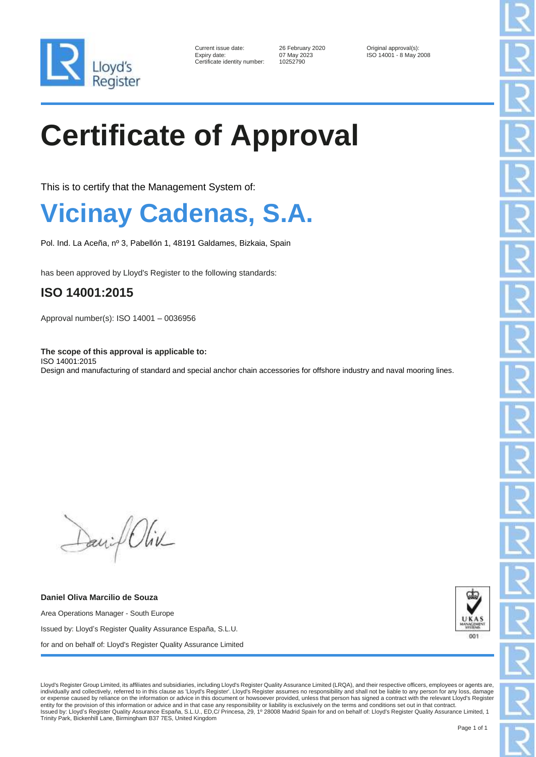

| Current issue date:        |
|----------------------------|
| Expiry date:               |
| Certificate identity numbe |

er: 10252790

26 February 2020 **Original approval(s):** 07 May 2023 **ISO 14001 - 8 May 2** Expiry date: 07 May 2023 ISO 14001 - 8 May 2008

# **Certificate of Approval**

This is to certify that the Management System of:

## **Vicinay Cadenas, S.A.**

Pol. Ind. La Aceña, nº 3, Pabellón 1, 48191 Galdames, Bizkaia, Spain

has been approved by Lloyd's Register to the following standards:

#### **ISO 14001:2015**

Approval number(s): ISO 14001 – 0036956

**The scope of this approval is applicable to:** ISO 14001:2015 Design and manufacturing of standard and special anchor chain accessories for offshore industry and naval mooring lines.

Daniel Oliv

**Daniel Oliva Marcilio de Souza** Area Operations Manager - South Europe Issued by: Lloyd's Register Quality Assurance España, S.L.U. for and on behalf of: Lloyd's Register Quality Assurance Limited



Lloyd's Register Group Limited, its affiliates and subsidiaries, including Lloyd's Register Quality Assurance Limited (LRQA), and their respective officers, employees or agents are, individually and collectively, referred to in this clause as 'Lloyd's Register'. Lloyd's Register assumes no responsibility and shall not be liable to any person for any loss, damage or expense caused by reliance on the information or advice in this document or howsoever provided, unless that person has signed a contract with the relevant Lloyd's Register entity for the provision of this information or advice and in that case any responsibility or liability is exclusively on the terms and conditions set out in that contract.<br>Issued by: Lloyd's Register Quality Assurance Esp Trinity Park, Bickenhill Lane, Birmingham B37 7ES, United Kingdom